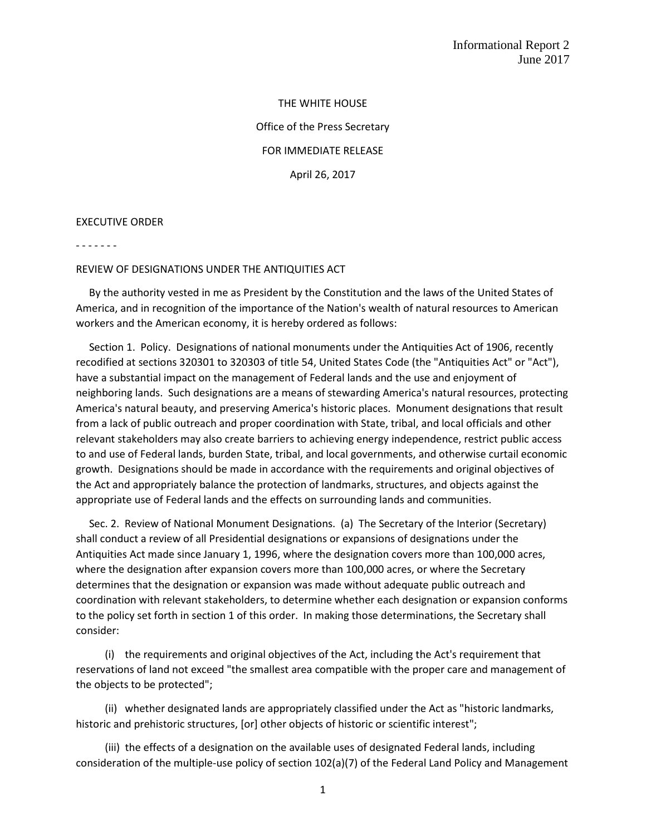THE WHITE HOUSE Office of the Press Secretary FOR IMMEDIATE RELEASE April 26, 2017

EXECUTIVE ORDER

- - - - - - -

## REVIEW OF DESIGNATIONS UNDER THE ANTIQUITIES ACT

 By the authority vested in me as President by the Constitution and the laws of the United States of America, and in recognition of the importance of the Nation's wealth of natural resources to American workers and the American economy, it is hereby ordered as follows:

 Section 1. Policy. Designations of national monuments under the Antiquities Act of 1906, recently recodified at sections 320301 to 320303 of title 54, United States Code (the "Antiquities Act" or "Act"), have a substantial impact on the management of Federal lands and the use and enjoyment of neighboring lands. Such designations are a means of stewarding America's natural resources, protecting America's natural beauty, and preserving America's historic places. Monument designations that result from a lack of public outreach and proper coordination with State, tribal, and local officials and other relevant stakeholders may also create barriers to achieving energy independence, restrict public access to and use of Federal lands, burden State, tribal, and local governments, and otherwise curtail economic growth. Designations should be made in accordance with the requirements and original objectives of the Act and appropriately balance the protection of landmarks, structures, and objects against the appropriate use of Federal lands and the effects on surrounding lands and communities.

 Sec. 2. Review of National Monument Designations. (a) The Secretary of the Interior (Secretary) shall conduct a review of all Presidential designations or expansions of designations under the Antiquities Act made since January 1, 1996, where the designation covers more than 100,000 acres, where the designation after expansion covers more than 100,000 acres, or where the Secretary determines that the designation or expansion was made without adequate public outreach and coordination with relevant stakeholders, to determine whether each designation or expansion conforms to the policy set forth in section 1 of this order. In making those determinations, the Secretary shall consider:

 (i) the requirements and original objectives of the Act, including the Act's requirement that reservations of land not exceed "the smallest area compatible with the proper care and management of the objects to be protected";

 (ii) whether designated lands are appropriately classified under the Act as "historic landmarks, historic and prehistoric structures, [or] other objects of historic or scientific interest";

 (iii) the effects of a designation on the available uses of designated Federal lands, including consideration of the multiple-use policy of section 102(a)(7) of the Federal Land Policy and Management

1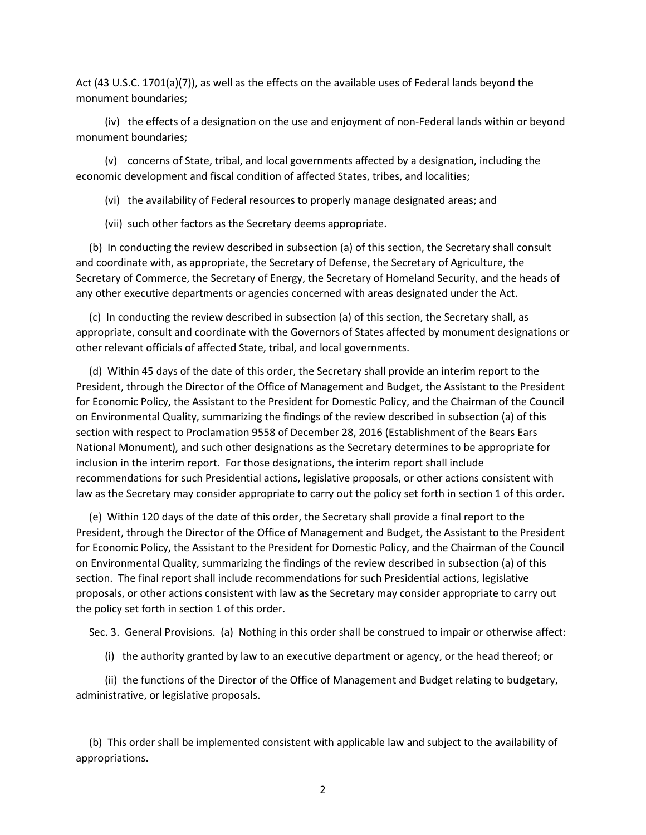Act (43 U.S.C. 1701(a)(7)), as well as the effects on the available uses of Federal lands beyond the monument boundaries;

 (iv) the effects of a designation on the use and enjoyment of non-Federal lands within or beyond monument boundaries;

 (v) concerns of State, tribal, and local governments affected by a designation, including the economic development and fiscal condition of affected States, tribes, and localities;

(vi) the availability of Federal resources to properly manage designated areas; and

(vii) such other factors as the Secretary deems appropriate.

 (b) In conducting the review described in subsection (a) of this section, the Secretary shall consult and coordinate with, as appropriate, the Secretary of Defense, the Secretary of Agriculture, the Secretary of Commerce, the Secretary of Energy, the Secretary of Homeland Security, and the heads of any other executive departments or agencies concerned with areas designated under the Act.

 (c) In conducting the review described in subsection (a) of this section, the Secretary shall, as appropriate, consult and coordinate with the Governors of States affected by monument designations or other relevant officials of affected State, tribal, and local governments.

 (d) Within 45 days of the date of this order, the Secretary shall provide an interim report to the President, through the Director of the Office of Management and Budget, the Assistant to the President for Economic Policy, the Assistant to the President for Domestic Policy, and the Chairman of the Council on Environmental Quality, summarizing the findings of the review described in subsection (a) of this section with respect to Proclamation 9558 of December 28, 2016 (Establishment of the Bears Ears National Monument), and such other designations as the Secretary determines to be appropriate for inclusion in the interim report. For those designations, the interim report shall include recommendations for such Presidential actions, legislative proposals, or other actions consistent with law as the Secretary may consider appropriate to carry out the policy set forth in section 1 of this order.

 (e) Within 120 days of the date of this order, the Secretary shall provide a final report to the President, through the Director of the Office of Management and Budget, the Assistant to the President for Economic Policy, the Assistant to the President for Domestic Policy, and the Chairman of the Council on Environmental Quality, summarizing the findings of the review described in subsection (a) of this section. The final report shall include recommendations for such Presidential actions, legislative proposals, or other actions consistent with law as the Secretary may consider appropriate to carry out the policy set forth in section 1 of this order.

Sec. 3. General Provisions. (a) Nothing in this order shall be construed to impair or otherwise affect:

(i) the authority granted by law to an executive department or agency, or the head thereof; or

 (ii) the functions of the Director of the Office of Management and Budget relating to budgetary, administrative, or legislative proposals.

 (b) This order shall be implemented consistent with applicable law and subject to the availability of appropriations.